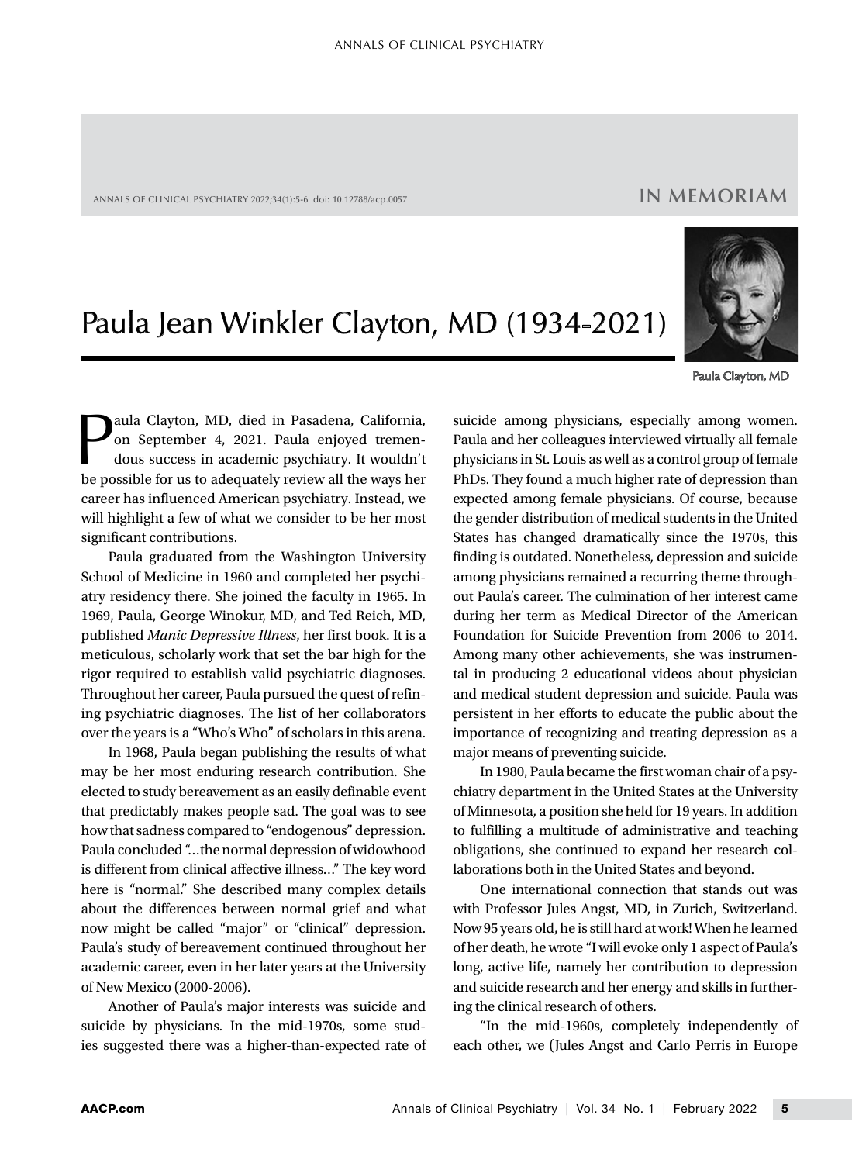ANNALS OF CLINICAL PSYCHIATRY 2022;34(1):5-6 doi: 10.12788/acp.0057

## **IN MEMORIAM**

## Paula Jean Winkler Clayton, MD (1934-2021)



Paula Clayton, MD

**Paula Clayton, MD, died in Pasadena, California, on September 4, 2021. Paula enjoyed tremendous success in academic psychiatry. It wouldn't be possible for us to adequately review all the ways ber** on September 4, 2021. Paula enjoyed tremendous success in academic psychiatry. It wouldn't be possible for us to adequately review all the ways her career has influenced American psychiatry. Instead, we will highlight a few of what we consider to be her most significant contributions.

Paula graduated from the Washington University School of Medicine in 1960 and completed her psychiatry residency there. She joined the faculty in 1965. In 1969, Paula, George Winokur, MD, and Ted Reich, MD, published *Manic Depressive Illness*, her first book. It is a meticulous, scholarly work that set the bar high for the rigor required to establish valid psychiatric diagnoses. Throughout her career, Paula pursued the quest of refining psychiatric diagnoses. The list of her collaborators over the years is a "Who's Who" of scholars in this arena.

In 1968, Paula began publishing the results of what may be her most enduring research contribution. She elected to study bereavement as an easily definable event that predictably makes people sad. The goal was to see how that sadness compared to "endogenous" depression. Paula concluded "…the normal depression of widowhood is different from clinical affective illness…" The key word here is "normal." She described many complex details about the differences between normal grief and what now might be called "major" or "clinical" depression. Paula's study of bereavement continued throughout her academic career, even in her later years at the University of New Mexico (2000-2006).

Another of Paula's major interests was suicide and suicide by physicians. In the mid-1970s, some studies suggested there was a higher-than-expected rate of

suicide among physicians, especially among women. Paula and her colleagues interviewed virtually all female physicians in St. Louis as well as a control group of female PhDs. They found a much higher rate of depression than expected among female physicians. Of course, because the gender distribution of medical students in the United States has changed dramatically since the 1970s, this finding is outdated. Nonetheless, depression and suicide among physicians remained a recurring theme throughout Paula's career. The culmination of her interest came during her term as Medical Director of the American Foundation for Suicide Prevention from 2006 to 2014. Among many other achievements, she was instrumental in producing 2 educational videos about physician and medical student depression and suicide. Paula was persistent in her efforts to educate the public about the importance of recognizing and treating depression as a major means of preventing suicide.

In 1980, Paula became the first woman chair of a psychiatry department in the United States at the University of Minnesota, a position she held for 19 years. In addition to fulfilling a multitude of administrative and teaching obligations, she continued to expand her research collaborations both in the United States and beyond.

One international connection that stands out was with Professor Jules Angst, MD, in Zurich, Switzerland. Now 95 years old, he is still hard at work! When he learned of her death, he wrote "I will evoke only 1 aspect of Paula's long, active life, namely her contribution to depression and suicide research and her energy and skills in furthering the clinical research of others.

"In the mid-1960s, completely independently of each other, we (Jules Angst and Carlo Perris in Europe